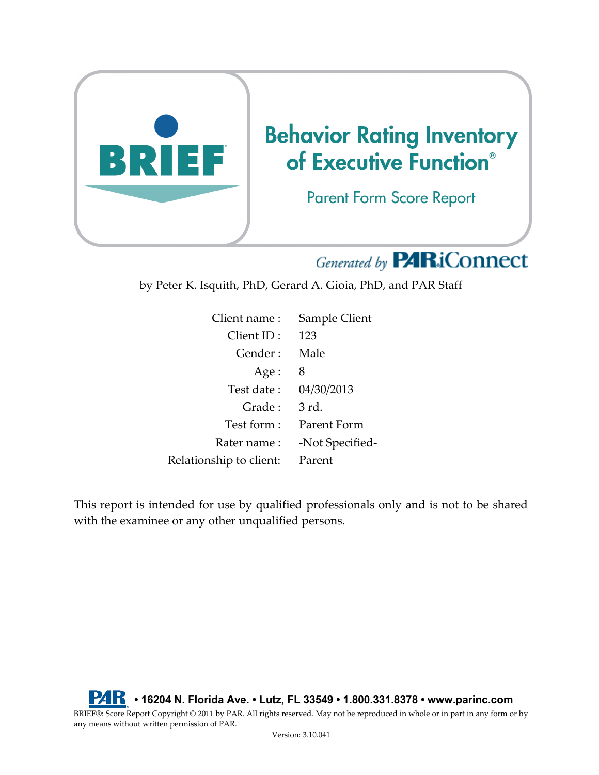

# Generated by **PARiConnect**

by Peter K. Isquith, PhD, Gerard A. Gioia, PhD, and PAR Staff

| Client name:            | Sample Client   |
|-------------------------|-----------------|
| Client ID:              | 123             |
| Gender:                 | Male            |
| Age:                    | 8               |
| Test date :             | 04/30/2013      |
| Grade:                  | 3 rd.           |
| Test form:              | Parent Form     |
| Rater name :            | -Not Specified- |
| Relationship to client: | Parent          |

This report is intended for use by qualified professionals only and is not to be shared with the examinee or any other unqualified persons.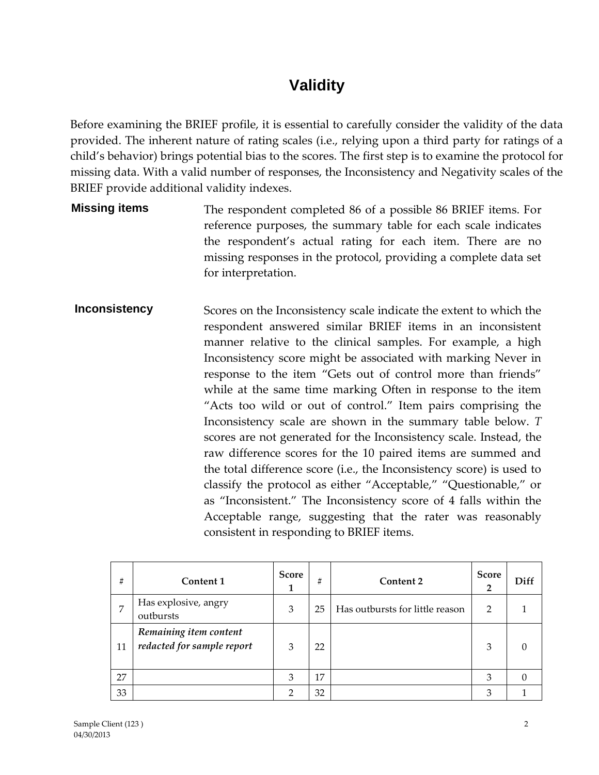### **Validity**

Before examining the BRIEF profile, it is essential to carefully consider the validity of the data provided. The inherent nature of rating scales (i.e., relying upon a third party for ratings of a child's behavior) brings potential bias to the scores. The first step is to examine the protocol for missing data. With a valid number of responses, the Inconsistency and Negativity scales of the BRIEF provide additional validity indexes.

- **Missing items** The respondent completed 86 of a possible 86 BRIEF items. For reference purposes, the summary table for each scale indicates the respondent's actual rating for each item. There are no missing responses in the protocol, providing a complete data set for interpretation.
- **Inconsistency** Scores on the Inconsistency scale indicate the extent to which the respondent answered similar BRIEF items in an inconsistent manner relative to the clinical samples. For example, a high Inconsistency score might be associated with marking Never in response to the item "Gets out of control more than friends" while at the same time marking Often in response to the item "Acts too wild or out of control." Item pairs comprising the Inconsistency scale are shown in the summary table below. *T*  scores are not generated for the Inconsistency scale. Instead, the raw difference scores for the 10 paired items are summed and the total difference score (i.e., the Inconsistency score) is used to classify the protocol as either "Acceptable," "Questionable," or as "Inconsistent." The Inconsistency score of 4 falls within the Acceptable range, suggesting that the rater was reasonably consistent in responding to BRIEF items.

| #  | Content 1                                            | <b>Score</b><br>1 | #  | Content 2                       | <b>Score</b><br>$\overline{2}$ | Diff     |
|----|------------------------------------------------------|-------------------|----|---------------------------------|--------------------------------|----------|
| 7  | Has explosive, angry<br>outbursts                    | 3                 | 25 | Has outbursts for little reason | 2                              |          |
| 11 | Remaining item content<br>redacted for sample report | 3                 | 22 |                                 | 3                              | 0        |
| 27 |                                                      | 3                 | 17 |                                 | 3                              | $\Omega$ |
| 33 |                                                      | $\overline{2}$    | 32 |                                 | 3                              |          |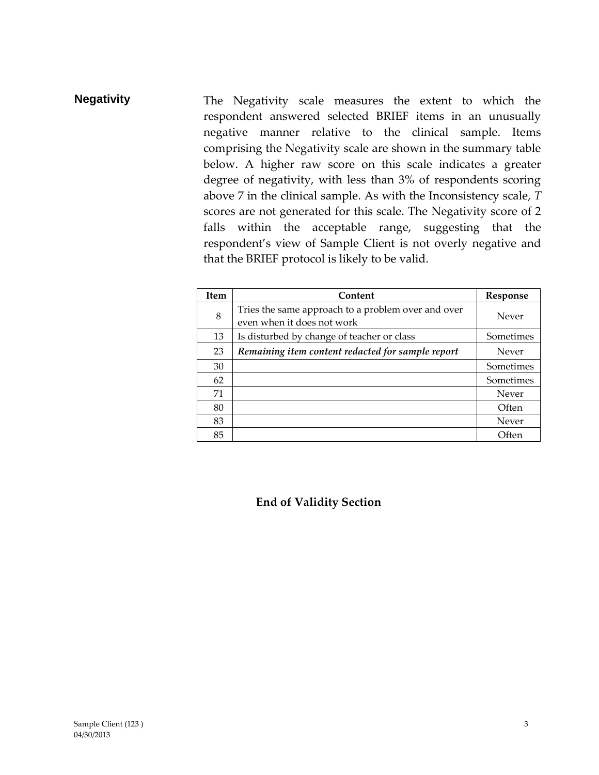### **Negativity** The Negativity scale measures the extent to which the respondent answered selected BRIEF items in an unusually negative manner relative to the clinical sample. Items comprising the Negativity scale are shown in the summary table below. A higher raw score on this scale indicates a greater degree of negativity, with less than 3% of respondents scoring above 7 in the clinical sample. As with the Inconsistency scale, *T*  scores are not generated for this scale. The Negativity score of 2 falls within the acceptable range, suggesting that the respondent's view of Sample Client is not overly negative and that the BRIEF protocol is likely to be valid.

| <b>Item</b> | Content                                                                          | Response  |
|-------------|----------------------------------------------------------------------------------|-----------|
| 8           | Tries the same approach to a problem over and over<br>even when it does not work | Never     |
| 13          | Is disturbed by change of teacher or class                                       | Sometimes |
| 23          | Remaining item content redacted for sample report                                | Never     |
| 30          |                                                                                  | Sometimes |
| 62          |                                                                                  | Sometimes |
| 71          |                                                                                  | Never     |
| 80          |                                                                                  | Often     |
| 83          |                                                                                  | Never     |
| 85          |                                                                                  | Often     |

#### **End of Validity Section**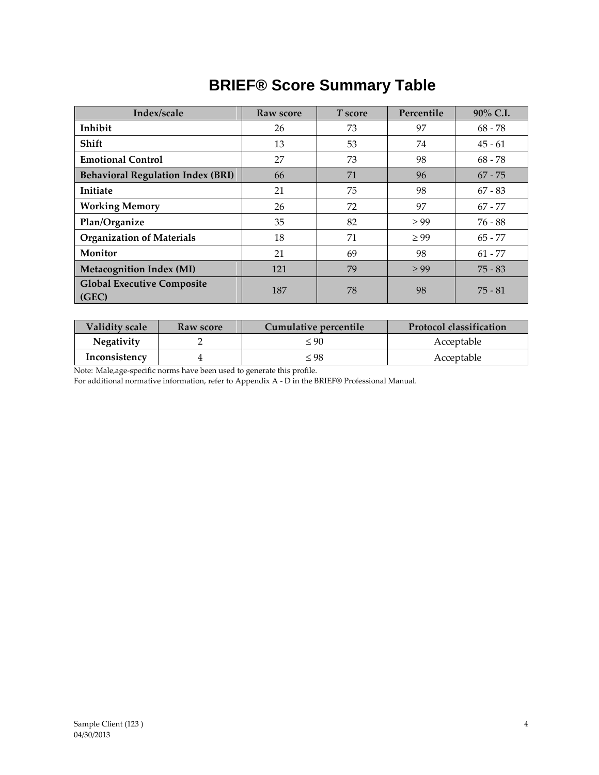# **BRIEF® Score Summary Table**

| Index/scale                                | Raw score | T score | Percentile | 90% C.I.  |  |
|--------------------------------------------|-----------|---------|------------|-----------|--|
| Inhibit                                    | 26        | 73      | 97         | $68 - 78$ |  |
| Shift                                      | 13        | 53      | 74         | $45 - 61$ |  |
| <b>Emotional Control</b>                   | 27        | 73      | 98         | $68 - 78$ |  |
| <b>Behavioral Regulation Index (BRI)</b>   | 66        | 71      | 96         | $67 - 75$ |  |
| Initiate                                   | 21        | 75      | 98         | $67 - 83$ |  |
| <b>Working Memory</b>                      | 26        | 72      | 97         | $67 - 77$ |  |
| Plan/Organize                              | 35        | 82      | $\geq 99$  | $76 - 88$ |  |
| <b>Organization of Materials</b>           | 18        | 71      | $\geq 99$  | $65 - 77$ |  |
| Monitor                                    | 21        | 69      | 98         |           |  |
| <b>Metacognition Index (MI)</b>            | 121       | 79      | $\geq 99$  | $75 - 83$ |  |
| <b>Global Executive Composite</b><br>(GEC) | 187       | 78      | 98         | $75 - 81$ |  |

| Validity scale<br>Raw score |  | Cumulative percentile | <b>Protocol classification</b> |  |
|-----------------------------|--|-----------------------|--------------------------------|--|
| <b>Negativity</b>           |  | $\leq 90$             | Acceptable                     |  |
| Inconsistency               |  | ≤ 98                  | Acceptable                     |  |

Note: Male,age-specific norms have been used to generate this profile.

For additional normative information, refer to Appendix A - D in the BRIEF® Professional Manual*.*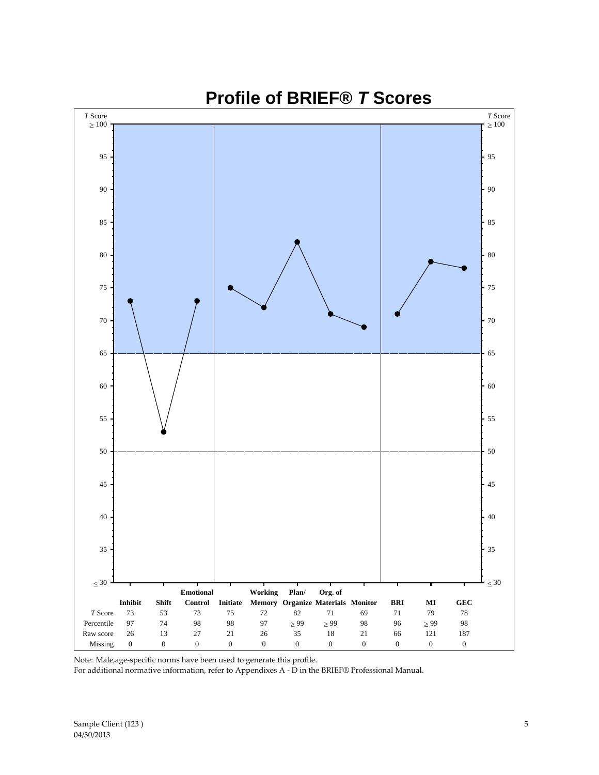

**Profile of BRIEF®** *T* **Scores**

Note: Male,age-specific norms have been used to generate this profile.

For additional normative information, refer to Appendixes A - D in the BRIEF® Professional Manual.